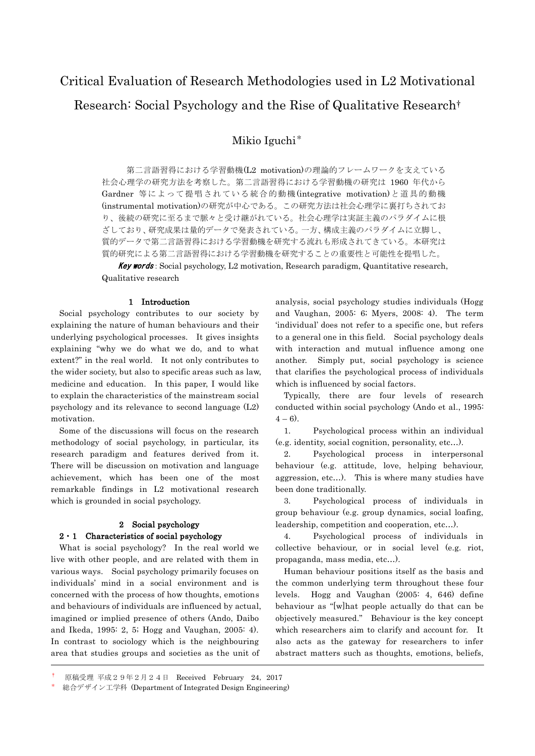# Critical Evaluation of Research Methodologies used in L2 Motivational Research: Social Psychology and the Rise of Qualitative Research†

Mikio Iguchi\*

第二言語習得における学習動機(L2 motivation)の理論的フレームワークを支えている 社会心理学の研究方法を考察した。第二言語習得における学習動機の研究は 1960 年代から Gardner 等によって提唱されている統合的動機(integrative motivation)と道具的動機 (instrumental motivation)の研究が中心である。この研究方法は社会心理学に裏打ちされてお り、後続の研究に至るまで脈々と受け継がれている。社会心理学は実証主義のパラダイムに根 ざしており、研究成果は量的データで発表されている。一方、構成主義のパラダイムに立脚し、 質的データで第二言語習得における学習動機を研究する流れも形成されてきている。本研究は 質的研究による第二言語習得における学習動機を研究することの重要性と可能性を提唱した。

**Key words**: Social psychology, L2 motivation, Research paradigm, Quantitative research, Qualitative research

#### 1 Introduction

Social psychology contributes to our society by explaining the nature of human behaviours and their underlying psychological processes. It gives insights explaining "why we do what we do, and to what extent?" in the real world. It not only contributes to the wider society, but also to specific areas such as law, medicine and education. In this paper, I would like to explain the characteristics of the mainstream social psychology and its relevance to second language (L2) motivation.

Some of the discussions will focus on the research methodology of social psychology, in particular, its research paradigm and features derived from it. There will be discussion on motivation and language achievement, which has been one of the most remarkable findings in L2 motivational research which is grounded in social psychology.

# 2 Social psychology

#### $2 \cdot 1$  Characteristics of social psychology

What is social psychology? In the real world we live with other people, and are related with them in various ways. Social psychology primarily focuses on individuals' mind in a social environment and is concerned with the process of how thoughts, emotions and behaviours of individuals are influenced by actual, imagined or implied presence of others (Ando, Daibo and Ikeda, 1995: 2, 5; Hogg and Vaughan, 2005: 4). In contrast to sociology which is the neighbouring area that studies groups and societies as the unit of

analysis, social psychology studies individuals (Hogg and Vaughan, 2005: 6; Myers, 2008: 4). The term 'individual' does not refer to a specific one, but refers to a general one in this field. Social psychology deals with interaction and mutual influence among one another. Simply put, social psychology is science that clarifies the psychological process of individuals which is influenced by social factors.

Typically, there are four levels of research conducted within social psychology (Ando et al., 1995:  $(4 - 6)$ .

1. Psychological process within an individual (e.g. identity, social cognition, personality, etc…).

2. Psychological process in interpersonal behaviour (e.g. attitude, love, helping behaviour, aggression, etc…). This is where many studies have been done traditionally.

3. Psychological process of individuals in group behaviour (e.g. group dynamics, social loafing, leadership, competition and cooperation, etc…).

4. Psychological process of individuals in collective behaviour, or in social level (e.g. riot, propaganda, mass media, etc…).

Human behaviour positions itself as the basis and the common underlying term throughout these four levels. Hogg and Vaughan (2005: 4, 646) define behaviour as "[w]hat people actually do that can be objectively measured." Behaviour is the key concept which researchers aim to clarify and account for. It also acts as the gateway for researchers to infer abstract matters such as thoughts, emotions, beliefs,

<sup>†</sup> 原稿受理 平成29年2月24日 Received February 24,2017

総合デザイン工学科 (Department of Integrated Design Engineering)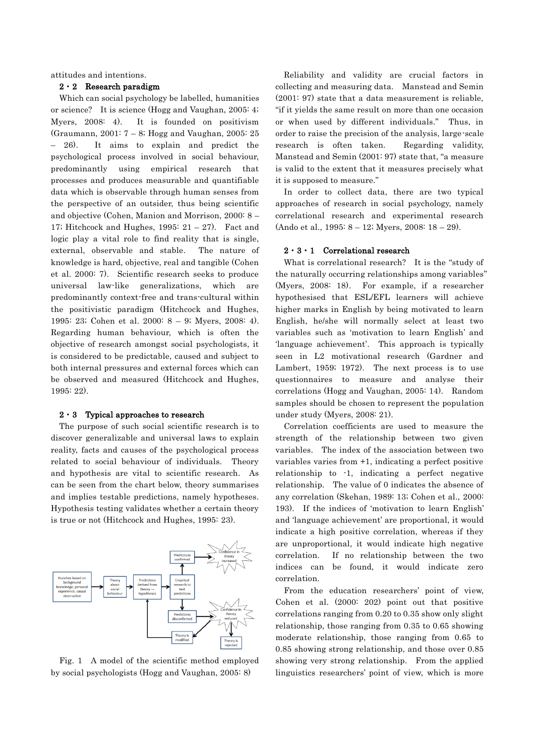attitudes and intentions.

## 2・2 Research paradigm

Which can social psychology be labelled, humanities or science? It is science (Hogg and Vaughan, 2005: 4; Myers, 2008: 4). It is founded on positivism (Graumann, 2001: 7 – 8; Hogg and Vaughan, 2005: 25 – 26). It aims to explain and predict the psychological process involved in social behaviour, predominantly using empirical research that processes and produces measurable and quantifiable data which is observable through human senses from the perspective of an outsider, thus being scientific and objective (Cohen, Manion and Morrison, 2000: 8 – 17; Hitchcock and Hughes, 1995:  $21 - 27$ ). Fact and logic play a vital role to find reality that is single, external, observable and stable. The nature of knowledge is hard, objective, real and tangible (Cohen et al. 2000: 7). Scientific research seeks to produce universal law-like generalizations, which are predominantly context-free and trans-cultural within the positivistic paradigm (Hitchcock and Hughes, 1995: 23; Cohen et al. 2000: 8 – 9; Myers, 2008: 4). Regarding human behaviour, which is often the objective of research amongst social psychologists, it is considered to be predictable, caused and subject to both internal pressures and external forces which can be observed and measured (Hitchcock and Hughes, 1995: 22).

#### 2・3 Typical approaches to research

The purpose of such social scientific research is to discover generalizable and universal laws to explain reality, facts and causes of the psychological process related to social behaviour of individuals. Theory and hypothesis are vital to scientific research. As can be seen from the chart below, theory summarises and implies testable predictions, namely hypotheses. Hypothesis testing validates whether a certain theory is true or not (Hitchcock and Hughes, 1995: 23).



Fig. 1 A model of the scientific method employed by social psychologists (Hogg and Vaughan, 2005: 8)

Reliability and validity are crucial factors in collecting and measuring data. Manstead and Semin (2001: 97) state that a data measurement is reliable, "if it yields the same result on more than one occasion or when used by different individuals." Thus, in order to raise the precision of the analysis, large-scale research is often taken. Regarding validity, Manstead and Semin (2001: 97) state that, "a measure is valid to the extent that it measures precisely what it is supposed to measure."

In order to collect data, there are two typical approaches of research in social psychology, namely correlational research and experimental research (Ando et al., 1995: 8 – 12; Myers, 2008: 18 – 29).

# 2・3・1 Correlational research

What is correlational research? It is the "study of the naturally occurring relationships among variables" (Myers, 2008: 18). For example, if a researcher hypothesised that ESL/EFL learners will achieve higher marks in English by being motivated to learn English, he/she will normally select at least two variables such as 'motivation to learn English' and 'language achievement'. This approach is typically seen in L2 motivational research (Gardner and Lambert, 1959; 1972). The next process is to use questionnaires to measure and analyse their correlations (Hogg and Vaughan, 2005: 14). Random samples should be chosen to represent the population under study (Myers, 2008: 21).

Correlation coefficients are used to measure the strength of the relationship between two given variables. The index of the association between two variables varies from +1, indicating a perfect positive relationship to -1, indicating a perfect negative relationship. The value of 0 indicates the absence of any correlation (Skehan, 1989: 13; Cohen et al., 2000: 193). If the indices of 'motivation to learn English' and 'language achievement' are proportional, it would indicate a high positive correlation, whereas if they are unproportional, it would indicate high negative correlation. If no relationship between the two indices can be found, it would indicate zero correlation.

From the education researchers' point of view, Cohen et al. (2000: 202) point out that positive correlations ranging from 0.20 to 0.35 show only slight relationship, those ranging from 0.35 to 0.65 showing moderate relationship, those ranging from 0.65 to 0.85 showing strong relationship, and those over 0.85 showing very strong relationship. From the applied linguistics researchers' point of view, which is more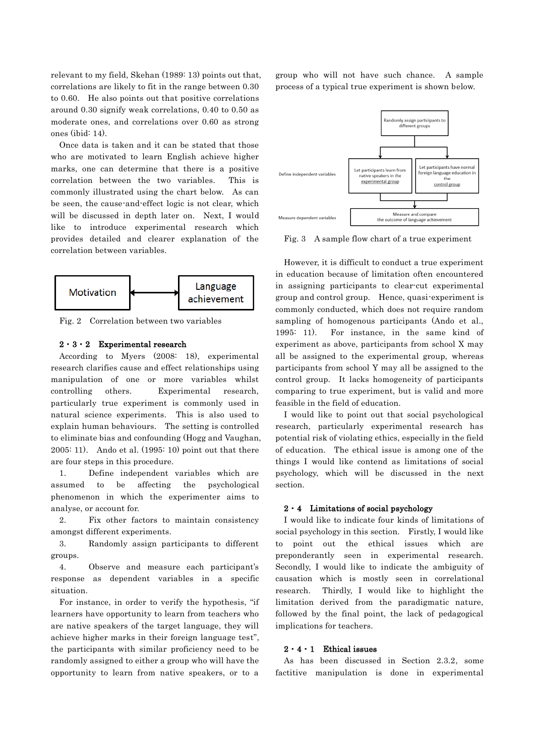relevant to my field, Skehan (1989: 13) points out that, correlations are likely to fit in the range between 0.30 to 0.60. He also points out that positive correlations around 0.30 signify weak correlations, 0.40 to 0.50 as moderate ones, and correlations over 0.60 as strong ones (ibid: 14).

Once data is taken and it can be stated that those who are motivated to learn English achieve higher marks, one can determine that there is a positive correlation between the two variables. This is commonly illustrated using the chart below. As can be seen, the cause-and-effect logic is not clear, which will be discussed in depth later on. Next, I would like to introduce experimental research which provides detailed and clearer explanation of the correlation between variables.



Fig. 2 Correlation between two variables

#### $2 \cdot 3 \cdot 2$  Experimental research

According to Myers (2008: 18), experimental research clarifies cause and effect relationships using manipulation of one or more variables whilst controlling others. Experimental research, particularly true experiment is commonly used in natural science experiments. This is also used to explain human behaviours. The setting is controlled to eliminate bias and confounding (Hogg and Vaughan, 2005: 11). Ando et al. (1995: 10) point out that there are four steps in this procedure.

1. Define independent variables which are assumed to be affecting the psychological phenomenon in which the experimenter aims to analyse, or account for.

2. Fix other factors to maintain consistency amongst different experiments.

3. Randomly assign participants to different groups.

4. Observe and measure each participant's response as dependent variables in a specific situation.

For instance, in order to verify the hypothesis, "if learners have opportunity to learn from teachers who are native speakers of the target language, they will achieve higher marks in their foreign language test", the participants with similar proficiency need to be randomly assigned to either a group who will have the opportunity to learn from native speakers, or to a

group who will not have such chance. A sample process of a typical true experiment is shown below.



Fig. 3 A sample flow chart of a true experiment

However, it is difficult to conduct a true experiment in education because of limitation often encountered in assigning participants to clear-cut experimental group and control group. Hence, quasi-experiment is commonly conducted, which does not require random sampling of homogenous participants (Ando et al., 1995: 11). For instance, in the same kind of experiment as above, participants from school X may all be assigned to the experimental group, whereas participants from school Y may all be assigned to the control group. It lacks homogeneity of participants comparing to true experiment, but is valid and more feasible in the field of education.

I would like to point out that social psychological research, particularly experimental research has potential risk of violating ethics, especially in the field of education. The ethical issue is among one of the things I would like contend as limitations of social psychology, which will be discussed in the next section.

#### $2 \cdot 4$  Limitations of social psychology

I would like to indicate four kinds of limitations of social psychology in this section. Firstly, I would like to point out the ethical issues which preponderantly seen in experimental research. Secondly, I would like to indicate the ambiguity of causation which is mostly seen in correlational research. Thirdly, I would like to highlight the limitation derived from the paradigmatic nature, followed by the final point, the lack of pedagogical implications for teachers.

#### $2 \cdot 4 \cdot 1$  Ethical issues

As has been discussed in Section 2.3.2, some factitive manipulation is done in experimental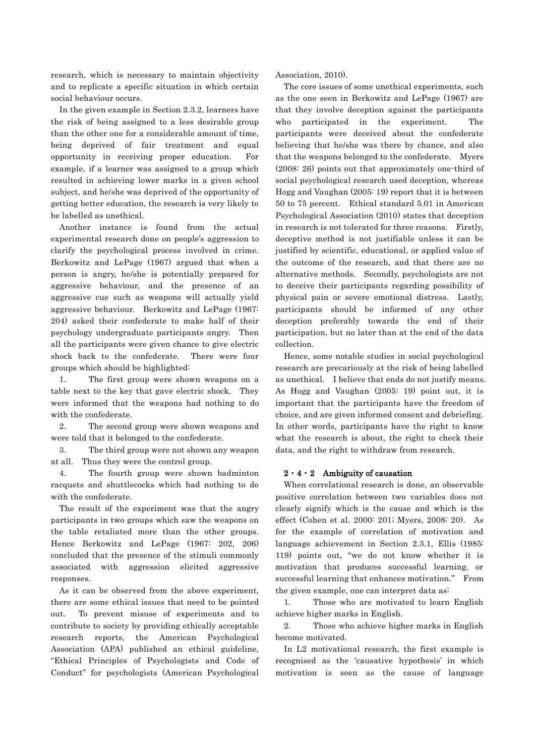research, which is necessary to maintain objectivity and to replicate a specific situation in which certain social behaviour occurs.

In the given example in Section 2.3.2, learners have the risk of being assigned to a less desirable group than the other one for a considerable amount of time, being deprived of fair treatment and equal opportunity in receiving proper education. For example, if a learner was assigned to a group which resulted in achieving lower marks in a given school subject, and he/she was deprived of the opportunity of getting better education, the research is very likely to be labelled as unethical.

Another instance is found from the actual experimental research done on people's aggression to clarify the psychological process involved in crime. Berkowitz and LePage (1967) argued that when a person is angry, he/she is potentially prepared for aggressive behaviour, and the presence of an aggressive cue such as weapons will actually yield aggressive behaviour. Berkowitz and LePage (1967: 204) asked their confederate to make half of their psychology undergraduate participants angry. Then all the participants were given chance to give electric shock back to the confederate. There were four groups which should be highlighted:

1. The first group were shown weapons on a table next to the key that gave electric shock. They were informed that the weapons had nothing to do with the confederate.

2. The second group were shown weapons and were told that it belonged to the confederate.

3. The third group were not shown any weapon at all. Thus they were the control group.

4. The fourth group were shown badminton racquets and shuttlecocks which had nothing to do with the confederate.

The result of the experiment was that the angry participants in two groups which saw the weapons on the table retaliated more than the other groups. Hence Berkowitz and LePage (1967: 202, 206) concluded that the presence of the stimuli commonly associated with aggression elicited aggressive responses.

As it can be observed from the above experiment, there are some ethical issues that need to be pointed out. To prevent misuse of experiments and to contribute to society by providing ethically acceptable research reports, the American Psychological Association (APA) published an ethical guideline, "Ethical Principles of Psychologists and Code of Conduct" for psychologists (American Psychological

Association, 2010).

The core issues of some unethical experiments, such as the one seen in Berkowitz and LePage (1967) are that they involve deception against the participants who participated in the experiment. The participants were deceived about the confederate believing that he/she was there by chance, and also that the weapons belonged to the confederate. Myers (2008: 26) points out that approximately one-third of social psychological research used deception, whereas Hogg and Vaughan (2005: 19) report that it is between 50 to 75 percent. Ethical standard 5.01 in American Psychological Association (2010) states that deception in research is not tolerated for three reasons. Firstly, deceptive method is not justifiable unless it can be justified by scientific, educational, or applied value of the outcome of the research, and that there are no alternative methods. Secondly, psychologists are not to deceive their participants regarding possibility of physical pain or severe emotional distress. Lastly, participants should be informed of any other deception preferably towards the end of their participation, but no later than at the end of the data collection.

Hence, some notable studies in social psychological research are precariously at the risk of being labelled as unethical. I believe that ends do not justify means. As Hogg and Vaughan (2005: 19) point out, it is important that the participants have the freedom of choice, and are given informed consent and debriefing. In other words, participants have the right to know what the research is about, the right to check their data, and the right to withdraw from research.

#### $2 \cdot 4 \cdot 2$  Ambiguity of causation

When correlational research is done, an observable positive correlation between two variables does not clearly signify which is the cause and which is the effect (Cohen et al. 2000: 201; Myers, 2008: 20). As for the example of correlation of motivation and language achievement in Section 2.3.1, Ellis (1985: 119) points out, "we do not know whether it is motivation that produces successful learning, or successful learning that enhances motivation." From the given example, one can interpret data as:

1. Those who are motivated to learn English achieve higher marks in English.

2. Those who achieve higher marks in English become motivated.

In L2 motivational research, the first example is recognised as the 'causative hypothesis' in which motivation is seen as the cause of language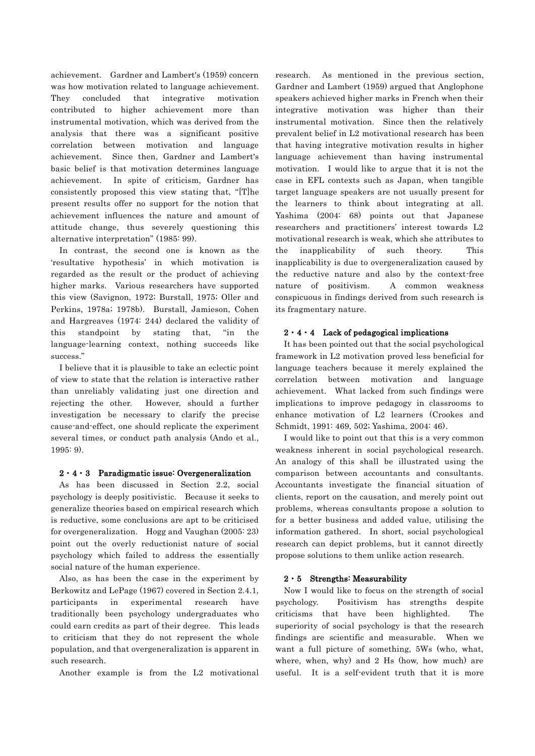achievement. Gardner and Lambert's (1959) concern was how motivation related to language achievement. They concluded that integrative motivation contributed to higher achievement more than instrumental motivation, which was derived from the analysis that there was a significant positive correlation between motivation and language achievement. Since then, Gardner and Lambert's basic belief is that motivation determines language achievement. In spite of criticism, Gardner has consistently proposed this view stating that, "[T]he present results offer no support for the notion that achievement influences the nature and amount of attitude change, thus severely questioning this alternative interpretation" (1985: 99).

In contrast, the second one is known as the 'resultative hypothesis' in which motivation is regarded as the result or the product of achieving higher marks. Various researchers have supported this view (Savignon, 1972; Burstall, 1975; Oller and Perkins, 1978a; 1978b). Burstall, Jamieson, Cohen and Hargreaves (1974: 244) declared the validity of this standpoint by stating that, "in the language-learning context, nothing succeeds like success."

I believe that it is plausible to take an eclectic point of view to state that the relation is interactive rather than unreliably validating just one direction and rejecting the other. However, should a further investigation be necessary to clarify the precise cause-and-effect, one should replicate the experiment several times, or conduct path analysis (Ando et al., 1995: 9).

# $2 \cdot 4 \cdot 3$  Paradigmatic issue: Overgeneralization

As has been discussed in Section 2.2, social psychology is deeply positivistic. Because it seeks to generalize theories based on empirical research which is reductive, some conclusions are apt to be criticised for overgeneralization. Hogg and Vaughan (2005: 23) point out the overly reductionist nature of social psychology which failed to address the essentially social nature of the human experience.

Also, as has been the case in the experiment by Berkowitz and LePage (1967) covered in Section 2.4.1, participants in experimental research have traditionally been psychology undergraduates who could earn credits as part of their degree. This leads to criticism that they do not represent the whole population, and that overgeneralization is apparent in such research.

Another example is from the L2 motivational

research. As mentioned in the previous section, Gardner and Lambert (1959) argued that Anglophone speakers achieved higher marks in French when their integrative motivation was higher than their instrumental motivation. Since then the relatively prevalent belief in L2 motivational research has been that having integrative motivation results in higher language achievement than having instrumental motivation. I would like to argue that it is not the case in EFL contexts such as Japan, when tangible target language speakers are not usually present for the learners to think about integrating at all. Yashima (2004: 68) points out that Japanese researchers and practitioners' interest towards L2 motivational research is weak, which she attributes to the inapplicability of such theory. This inapplicability is due to overgeneralization caused by the reductive nature and also by the context-free nature of positivism. A common weakness conspicuous in findings derived from such research is its fragmentary nature.

# $2 \cdot 4 \cdot 4$  Lack of pedagogical implications

It has been pointed out that the social psychological framework in L2 motivation proved less beneficial for language teachers because it merely explained the correlation between motivation and language achievement. What lacked from such findings were implications to improve pedagogy in classrooms to enhance motivation of L2 learners (Crookes and Schmidt, 1991: 469, 502; Yashima, 2004: 46).

I would like to point out that this is a very common weakness inherent in social psychological research. An analogy of this shall be illustrated using the comparison between accountants and consultants. Accountants investigate the financial situation of clients, report on the causation, and merely point out problems, whereas consultants propose a solution to for a better business and added value, utilising the information gathered. In short, social psychological research can depict problems, but it cannot directly propose solutions to them unlike action research.

## $2 \cdot 5$  Strengths: Measurability

Now I would like to focus on the strength of social psychology. Positivism has strengths despite criticisms that have been highlighted. The superiority of social psychology is that the research findings are scientific and measurable. When we want a full picture of something, 5Ws (who, what, where, when, why) and 2 Hs (how, how much) are useful. It is a self-evident truth that it is more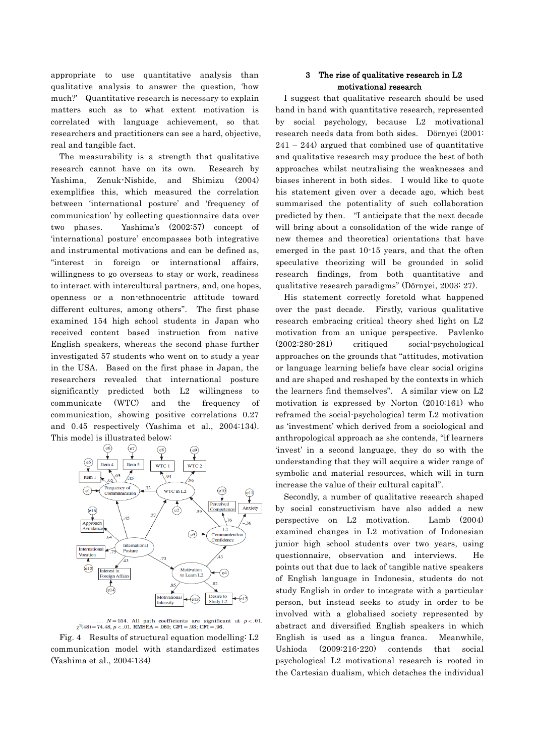appropriate to use quantitative analysis than qualitative analysis to answer the question, 'how much?' Quantitative research is necessary to explain matters such as to what extent motivation is correlated with language achievement, so that researchers and practitioners can see a hard, objective, real and tangible fact.

The measurability is a strength that qualitative research cannot have on its own. Research by Yashima, Zenuk-Nishide, and Shimizu (2004) exemplifies this, which measured the correlation between 'international posture' and 'frequency of communication' by collecting questionnaire data over two phases. Yashima's (2002:57) concept of 'international posture' encompasses both integrative and instrumental motivations and can be defined as, "interest in foreign or international affairs, willingness to go overseas to stay or work, readiness to interact with intercultural partners, and, one hopes, openness or a non-ethnocentric attitude toward different cultures, among others". The first phase examined 154 high school students in Japan who received content based instruction from native English speakers, whereas the second phase further investigated 57 students who went on to study a year in the USA. Based on the first phase in Japan, the researchers revealed that international posture significantly predicted both L2 willingness to communicate (WTC) and the frequency of communication, showing positive correlations 0.27 and 0.45 respectively (Yashima et al., 2004:134). This model is illustrated below:



 $N=154$ . All path coefficients are significant at  $p < .01$ .<br> $\chi^2(48) = 74.48$ ,  $p < .01$ . RMSEA = .060; GFI = .93; CFI = .96.

Fig. 4 Results of structural equation modelling: L2 communication model with standardized estimates (Yashima et al., 2004:134)

# 3 The rise of qualitative research in L2 motivational research

I suggest that qualitative research should be used hand in hand with quantitative research, represented by social psychology, because L2 motivational research needs data from both sides. Dörnyei (2001:  $241 - 244$ ) argued that combined use of quantitative and qualitative research may produce the best of both approaches whilst neutralising the weaknesses and biases inherent in both sides. I would like to quote his statement given over a decade ago, which best summarised the potentiality of such collaboration predicted by then. "I anticipate that the next decade will bring about a consolidation of the wide range of new themes and theoretical orientations that have emerged in the past 10-15 years, and that the often speculative theorizing will be grounded in solid research findings, from both quantitative and qualitative research paradigms" (Dörnyei, 2003: 27).

 His statement correctly foretold what happened over the past decade. Firstly, various qualitative research embracing critical theory shed light on L2 motivation from an unique perspective. Pavlenko (2002:280-281) critiqued social-psychological approaches on the grounds that "attitudes, motivation or language learning beliefs have clear social origins and are shaped and reshaped by the contexts in which the learners find themselves". A similar view on L2 motivation is expressed by Norton (2010:161) who reframed the social-psychological term L2 motivation as 'investment' which derived from a sociological and anthropological approach as she contends, "if learners 'invest' in a second language, they do so with the understanding that they will acquire a wider range of symbolic and material resources, which will in turn increase the value of their cultural capital".

Secondly, a number of qualitative research shaped by social constructivism have also added a new perspective on L2 motivation. Lamb (2004) examined changes in L2 motivation of Indonesian junior high school students over two years, using questionnaire, observation and interviews. He points out that due to lack of tangible native speakers of English language in Indonesia, students do not study English in order to integrate with a particular person, but instead seeks to study in order to be involved with a globalised society represented by abstract and diversified English speakers in which English is used as a lingua franca. Meanwhile, Ushioda (2009:216-220) contends that social psychological L2 motivational research is rooted in the Cartesian dualism, which detaches the individual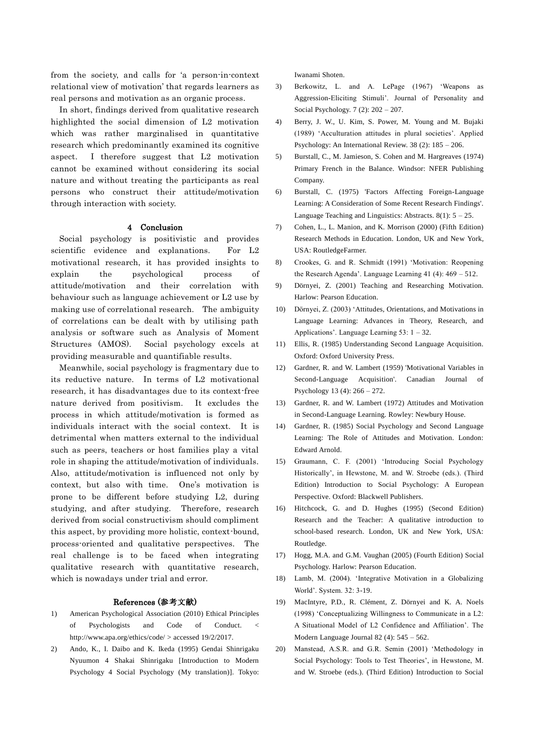from the society, and calls for 'a person-in-context relational view of motivation' that regards learners as real persons and motivation as an organic process.

In short, findings derived from qualitative research highlighted the social dimension of L2 motivation which was rather marginalised in quantitative research which predominantly examined its cognitive aspect. I therefore suggest that L2 motivation cannot be examined without considering its social nature and without treating the participants as real persons who construct their attitude/motivation through interaction with society.

#### 4 Conclusion

Social psychology is positivistic and provides scientific evidence and explanations. For L2 motivational research, it has provided insights to explain the psychological process of attitude/motivation and their correlation with behaviour such as language achievement or L2 use by making use of correlational research. The ambiguity of correlations can be dealt with by utilising path analysis or software such as Analysis of Moment Structures (AMOS). Social psychology excels at providing measurable and quantifiable results.

Meanwhile, social psychology is fragmentary due to its reductive nature. In terms of L2 motivational research, it has disadvantages due to its context-free nature derived from positivism. It excludes the process in which attitude/motivation is formed as individuals interact with the social context. It is detrimental when matters external to the individual such as peers, teachers or host families play a vital role in shaping the attitude/motivation of individuals. Also, attitude/motivation is influenced not only by context, but also with time. One's motivation is prone to be different before studying L2, during studying, and after studying. Therefore, research derived from social constructivism should compliment this aspect, by providing more holistic, context-bound, process-oriented and qualitative perspectives. The real challenge is to be faced when integrating qualitative research with quantitative research, which is nowadays under trial and error.

#### References (参考文献)

- 1) American Psychological Association (2010) Ethical Principles of Psychologists and Code of Conduct. < http://www.apa.org/ethics/code/ > accessed 19/2/2017.
- 2) Ando, K., I. Daibo and K. Ikeda (1995) Gendai Shinrigaku Nyuumon 4 Shakai Shinrigaku [Introduction to Modern Psychology 4 Social Psychology (My translation)]. Tokyo:

Iwanami Shoten.

- 3) Berkowitz, L. and A. LePage (1967) 'Weapons as Aggression-Eliciting Stimuli'. Journal of Personality and Social Psychology. 7 (2): 202 – 207.
- 4) Berry, J. W., U. Kim, S. Power, M. Young and M. Bujaki (1989) 'Acculturation attitudes in plural societies'. Applied Psychology: An International Review. 38 (2): 185 – 206.
- 5) Burstall, C., M. Jamieson, S. Cohen and M. Hargreaves (1974) Primary French in the Balance. Windsor: NFER Publishing Company.
- 6) Burstall, C. (1975) 'Factors Affecting Foreign-Language Learning: A Consideration of Some Recent Research Findings'. Language Teaching and Linguistics: Abstracts.  $8(1)$ :  $5 - 25$ .
- 7) Cohen, L., L. Manion, and K. Morrison (2000) (Fifth Edition) Research Methods in Education. London, UK and New York, USA: RoutledgeFarmer.
- 8) Crookes, G. and R. Schmidt (1991) 'Motivation: Reopening the Research Agenda'. Language Learning 41 (4): 469 – 512.
- 9) Dörnyei, Z. (2001) Teaching and Researching Motivation. Harlow: Pearson Education.
- 10) Dörnyei, Z. (2003) 'Attitudes, Orientations, and Motivations in Language Learning: Advances in Theory, Research, and Applications'. Language Learning 53: 1 – 32.
- 11) Ellis, R. (1985) Understanding Second Language Acquisition. Oxford: Oxford University Press.
- 12) Gardner, R. and W. Lambert (1959) 'Motivational Variables in Second-Language Acquisition'. Canadian Journal of Psychology 13 (4): 266 – 272.
- 13) Gardner, R. and W. Lambert (1972) Attitudes and Motivation in Second-Language Learning. Rowley: Newbury House.
- 14) Gardner, R. (1985) Social Psychology and Second Language Learning: The Role of Attitudes and Motivation. London: Edward Arnold.
- 15) Graumann, C. F. (2001) 'Introducing Social Psychology Historically', in Hewstone, M. and W. Stroebe (eds.). (Third Edition) Introduction to Social Psychology: A European Perspective. Oxford: Blackwell Publishers.
- 16) Hitchcock, G. and D. Hughes (1995) (Second Edition) Research and the Teacher: A qualitative introduction to school-based research. London, UK and New York, USA: Routledge.
- 17) Hogg, M.A. and G.M. Vaughan (2005) (Fourth Edition) Social Psychology. Harlow: Pearson Education.
- 18) Lamb, M. (2004). 'Integrative Motivation in a Globalizing World'. System. 32: 3-19.
- 19) MacIntyre, P.D., R. Clément, Z. Dörnyei and K. A. Noels (1998) 'Conceptualizing Willingness to Communicate in a L2: A Situational Model of L2 Confidence and Affiliation'. The Modern Language Journal 82 (4): 545 – 562.
- 20) Manstead, A.S.R. and G.R. Semin (2001) 'Methodology in Social Psychology: Tools to Test Theories', in Hewstone, M. and W. Stroebe (eds.). (Third Edition) Introduction to Social